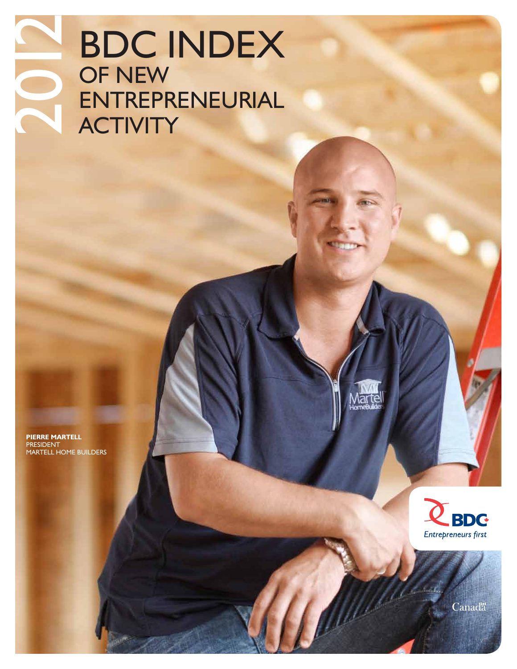### **BDC INDEX** OF NEW **ENTREPRENEURIAL** 2012 **ACTIVITY**

**PIERRE MARTELL PRESIDEI** MARTELL HOME BUILDERS





Canada<sup>r</sup>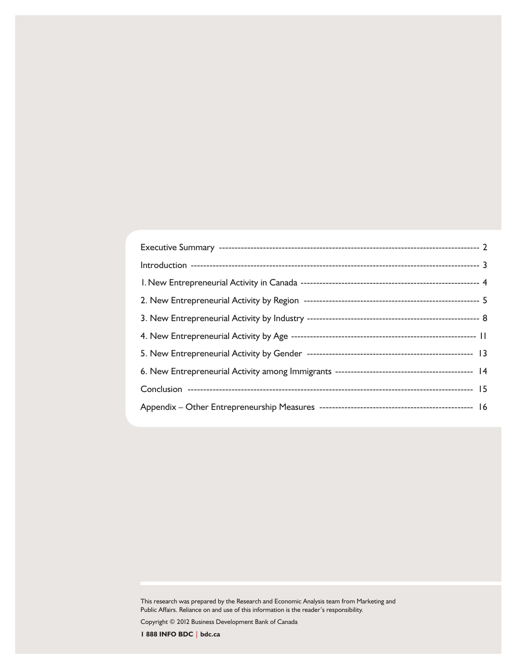This research was prepared by the Research and Economic Analysis team from Marketing and Public Affairs. Reliance on and use of this information is the reader's responsibility.

Copyright © 2012 Business Development Bank of Canada

**1 888 INFO BDC | bdc.ca**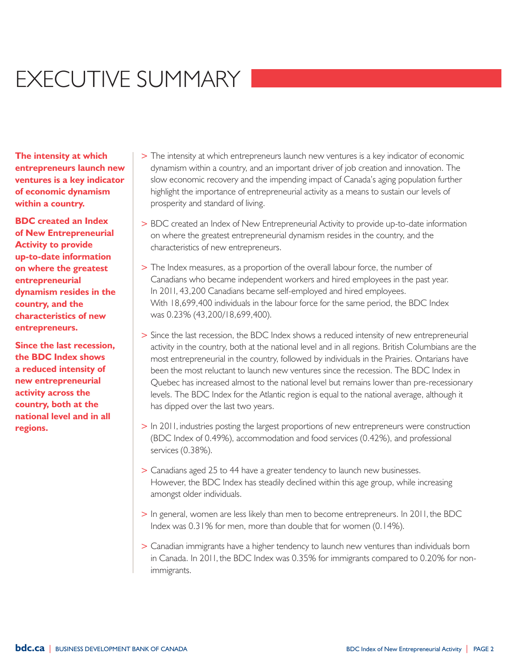## EXECUTIVE SUMMARY

**The intensity at which entrepreneurs launch new ventures is a key indicator of economic dynamism within a country.**

**BDC created an Index of New Entrepreneurial Activity to provide up-to-date information on where the greatest entrepreneurial dynamism resides in the country, and the characteristics of new entrepreneurs.**

**Since the last recession, the BDC Index shows a reduced intensity of new entrepreneurial activity across the country, both at the national level and in all regions.**

- > The intensity at which entrepreneurs launch new ventures is a key indicator of economic dynamism within a country, and an important driver of job creation and innovation. The slow economic recovery and the impending impact of Canada's aging population further highlight the importance of entrepreneurial activity as a means to sustain our levels of prosperity and standard of living.
- > BDC created an Index of New Entrepreneurial Activity to provide up-to-date information on where the greatest entrepreneurial dynamism resides in the country, and the characteristics of new entrepreneurs.
- > The Index measures, as a proportion of the overall labour force, the number of Canadians who became independent workers and hired employees in the past year. In 2011, 43,200 Canadians became self-employed and hired employees. With 18,699,400 individuals in the labour force for the same period, the BDC Index was 0.23% (43,200/18,699,400).
- > Since the last recession, the BDC Index shows a reduced intensity of new entrepreneurial activity in the country, both at the national level and in all regions. British Columbians are the most entrepreneurial in the country, followed by individuals in the Prairies. Ontarians have been the most reluctant to launch new ventures since the recession. The BDC Index in Quebec has increased almost to the national level but remains lower than pre-recessionary levels. The BDC Index for the Atlantic region is equal to the national average, although it has dipped over the last two years.
- > In 2011, industries posting the largest proportions of new entrepreneurs were construction (BDC Index of 0.49%), accommodation and food services (0.42%), and professional services (0.38%).
- > Canadians aged 25 to 44 have a greater tendency to launch new businesses. However, the BDC Index has steadily declined within this age group, while increasing amongst older individuals.
- > In general, women are less likely than men to become entrepreneurs. In 2011, the BDC Index was 0.31% for men, more than double that for women (0.14%).
- > Canadian immigrants have a higher tendency to launch new ventures than individuals born in Canada. In 2011, the BDC Index was 0.35% for immigrants compared to 0.20% for nonimmigrants.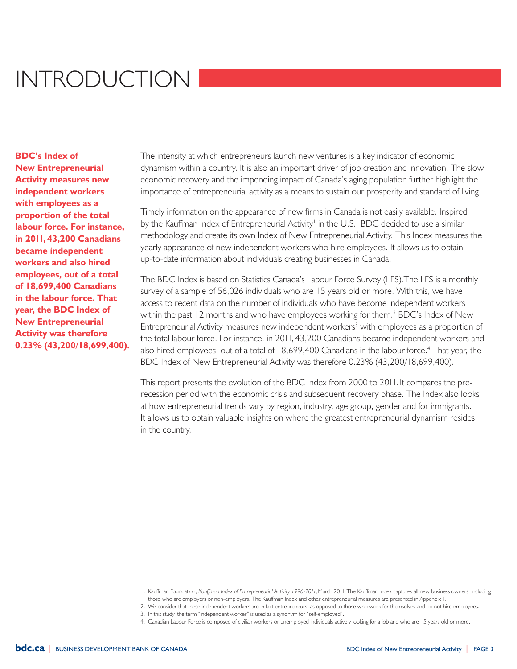### Introduction

**BDC's Index of New Entrepreneurial Activity measures new independent workers with employees as a proportion of the total labour force. For instance, in 2011, 43,200 Canadians became independent workers and also hired employees, out of a total of 18,699,400 Canadians in the labour force. That year, the BDC Index of New Entrepreneurial Activity was therefore 0.23% (43,200/18,699,400).**

The intensity at which entrepreneurs launch new ventures is a key indicator of economic dynamism within a country. It is also an important driver of job creation and innovation. The slow economic recovery and the impending impact of Canada's aging population further highlight the importance of entrepreneurial activity as a means to sustain our prosperity and standard of living.

Timely information on the appearance of new firms in Canada is not easily available. Inspired by the Kauffman Index of Entrepreneurial Activity<sup>1</sup> in the U.S., BDC decided to use a similar methodology and create its own Index of New Entrepreneurial Activity. This Index measures the yearly appearance of new independent workers who hire employees. It allows us to obtain up-to-date information about individuals creating businesses in Canada.

The BDC Index is based on Statistics Canada's Labour Force Survey (LFS).The LFS is a monthly survey of a sample of 56,026 individuals who are 15 years old or more. With this, we have access to recent data on the number of individuals who have become independent workers within the past 12 months and who have employees working for them.<sup>2</sup> BDC's Index of New Entrepreneurial Activity measures new independent workers<sup>3</sup> with employees as a proportion of the total labour force. For instance, in 2011, 43,200 Canadians became independent workers and also hired employees, out of a total of 18,699,400 Canadians in the labour force.<sup>4</sup> That year, the BDC Index of New Entrepreneurial Activity was therefore 0.23% (43,200/18,699,400).

This report presents the evolution of the BDC Index from 2000 to 2011. It compares the prerecession period with the economic crisis and subsequent recovery phase. The Index also looks at how entrepreneurial trends vary by region, industry, age group, gender and for immigrants. It allows us to obtain valuable insights on where the greatest entrepreneurial dynamism resides in the country.

<sup>1.</sup> Kauffman Foundation, *Kauffman Index of Entrepreneurial Activity 1996-2011*, March 2011. The Kauffman Index captures all new business owners, including those who are employers or non-employers. The Kauffman Index and other entrepreneurial measures are presented in Appendix 1.

<sup>2.</sup> We consider that these independent workers are in fact entrepreneurs, as opposed to those who work for themselves and do not hire employees.

<sup>3.</sup> In this study, the term "independent worker" is used as a synonym for "self-employed".

<sup>4.</sup> Canadian Labour Force is composed of civilian workers or unemployed individuals actively looking for a job and who are 15 years old or more.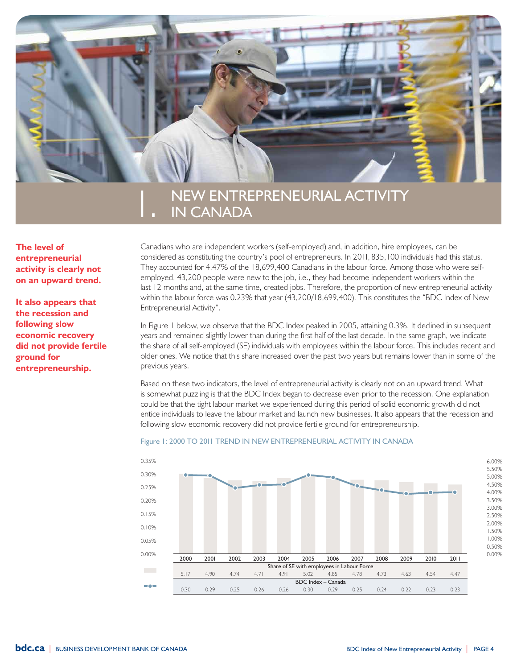

### New Entrepreneurial Activity in Canada

**The level of entrepreneurial activity is clearly not on an upward trend.**

**It also appears that the recession and following slow economic recovery did not provide fertile ground for entrepreneurship.**

Canadians who are independent workers (self-employed) and, in addition, hire employees, can be considered as constituting the country's pool of entrepreneurs. In 2011, 835,100 individuals had this status. They accounted for 4.47% of the 18,699,400 Canadians in the labour force. Among those who were selfemployed, 43,200 people were new to the job, i.e., they had become independent workers within the last 12 months and, at the same time, created jobs. Therefore, the proportion of new entrepreneurial activity within the labour force was 0.23% that year (43,200/18,699,400). This constitutes the "BDC Index of New Entrepreneurial Activity".

In Figure 1 below, we observe that the BDC Index peaked in 2005, attaining 0.3%. It declined in subsequent years and remained slightly lower than during the first half of the last decade. In the same graph, we indicate the share of all self-employed (SE) individuals with employees within the labour force. This includes recent and older ones. We notice that this share increased over the past two years but remains lower than in some of the previous years.

Based on these two indicators, the level of entrepreneurial activity is clearly not on an upward trend. What is somewhat puzzling is that the BDC Index began to decrease even prior to the recession. One explanation could be that the tight labour market we experienced during this period of solid economic growth did not entice individuals to leave the labour market and launch new businesses. It also appears that the recession and following slow economic recovery did not provide fertile ground for entrepreneurship.

### Figure 1: 2000 TO 2011 TREND IN NEW ENTREPRENEURIAL ACTIVITY IN CANADA

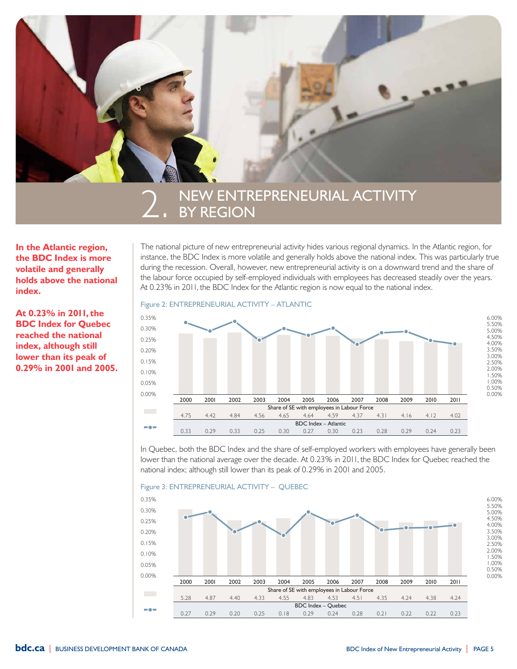

## NEW ENTREPRENEURIAL ACTIVITY<br>BY REGION

**In the Atlantic region, the BDC Index is more volatile and generally holds above the national index.**

**At 0.23% in 2011, the BDC Index for Quebec reached the national index, although still lower than its peak of 0.29% in 2001 and 2005.** The national picture of new entrepreneurial activity hides various regional dynamics. In the Atlantic region, for instance, the BDC Index is more volatile and generally holds above the national index. This was particularly true during the recession. Overall, however, new entrepreneurial activity is on a downward trend and the share of the labour force occupied by self-employed individuals with employees has decreased steadily over the years. At 0.23% in 2011, the BDC Index for the Atlantic region is now equal to the national index.

### Figure 2: ENTREPRENEURIAL ACTIVITY - ATLANTIC



In Quebec, both the BDC Index and the share of self-employed workers with employees have generally been lower than the national average over the decade. At 0.23% in 2011, the BDC Index for Quebec reached the national index; although still lower than its peak of 0.29% in 2001 and 2005.



#### Figure 3: ENTREPRENEURIAL ACTIVITY - QUEBEC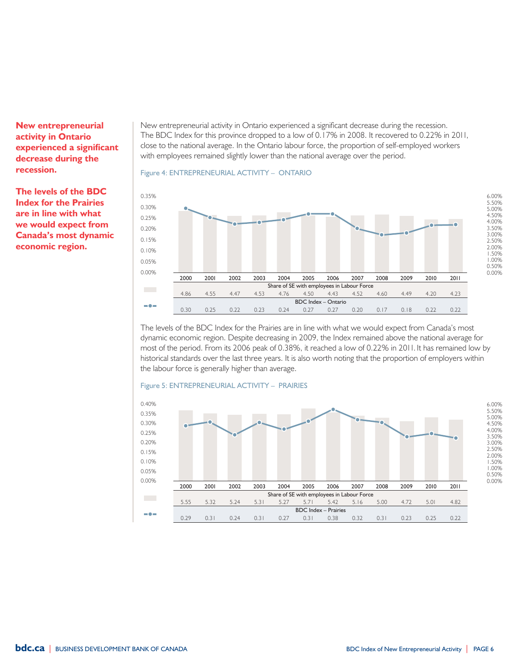**New entrepreneurial activity in Ontario experienced a significant decrease during the recession.** 

**The levels of the BDC Index for the Prairies are in line with what we would expect from Canada's most dynamic economic region.**

New entrepreneurial activity in Ontario experienced a significant decrease during the recession. The BDC Index for this province dropped to a low of 0.17% in 2008. It recovered to 0.22% in 2011, close to the national average. In the Ontario labour force, the proportion of self-employed workers with employees remained slightly lower than the national average over the period.

### Figure 4: ENTREPRENEURIAL ACTIVITY - ONTARIO



The levels of the BDC Index for the Prairies are in line with what we would expect from Canada's most dynamic economic region. Despite decreasing in 2009, the Index remained above the national average for most of the period. From its 2006 peak of 0.38%, it reached a low of 0.22% in 2011. It has remained low by historical standards over the last three years. It is also worth noting that the proportion of employers within the labour force is generally higher than average.



#### Figure 5: ENTREPRENEURIAL ACTIVITY - PRAIRIES

0.00% 0.50% 1.00% 1.50% 2.00% 2.50% 3.00% 3.50% 4.00% 4.50% 5.00% 5.50% 6.00%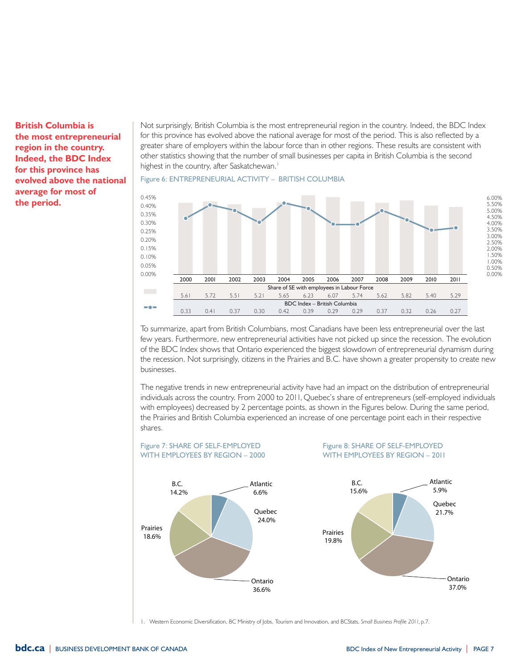**British Columbia is the most entrepreneurial region in the country. Indeed, the BDC Index for this province has evolved above the national average for most of the period.**

Not surprisingly, British Columbia is the most entrepreneurial region in the country. Indeed, the BDC Index for this province has evolved above the national average for most of the period. This is also reflected by a greater share of employers within the labour force than in other regions. These results are consistent with other statistics showing that the number of small businesses per capita in British Columbia is the second highest in the country, after Saskatchewan.<sup>1</sup>





To summarize, apart from British Columbians, most Canadians have been less entrepreneurial over the last few years. Furthermore, new entrepreneurial activities have not picked up since the recession. The evolution of the BDC Index shows that Ontario experienced the biggest slowdown of entrepreneurial dynamism during the recession. Not surprisingly, citizens in the Prairies and B.C. have shown a greater propensity to create new businesses.

The negative trends in new entrepreneurial activity have had an impact on the distribution of entrepreneurial individuals across the country. From 2000 to 2011, Quebec's share of entrepreneurs (self-employed individuals with employees) decreased by 2 percentage points, as shown in the Figures below. During the same period, the Prairies and British Columbia experienced an increase of one percentage point each in their respective shares.



1. Western Economic Diversification, BC Ministry of Jobs, Tourism and Innovation, and BCStats, *Small Business Profile 2011*, p.7.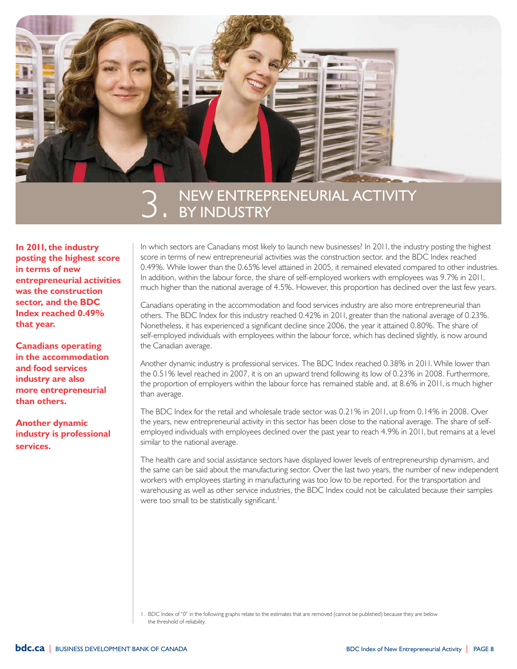

## NEW ENTREPRENEURIAL ACTIVITY<br>BY INDUSTRY

**In 2011, the industry posting the highest score in terms of new entrepreneurial activities was the construction sector, and the BDC Index reached 0.49% that year.**

**Canadians operating in the accommodation and food services industry are also more entrepreneurial than others.**

**Another dynamic industry is professional services.**

In which sectors are Canadians most likely to launch new businesses? In 2011, the industry posting the highest score in terms of new entrepreneurial activities was the construction sector, and the BDC Index reached 0.49%. While lower than the 0.65% level attained in 2005, it remained elevated compared to other industries. In addition, within the labour force, the share of self-employed workers with employees was 9.7% in 2011, much higher than the national average of 4.5%. However, this proportion has declined over the last few years.

Canadians operating in the accommodation and food services industry are also more entrepreneurial than others. The BDC Index for this industry reached 0.42% in 2011, greater than the national average of 0.23%. Nonetheless, it has experienced a significant decline since 2006, the year it attained 0.80%. The share of self-employed individuals with employees within the labour force, which has declined slightly, is now around the Canadian average.

Another dynamic industry is professional services. The BDC Index reached 0.38% in 2011. While lower than the 0.51% level reached in 2007, it is on an upward trend following its low of 0.23% in 2008. Furthermore, the proportion of employers within the labour force has remained stable and, at 8.6% in 2011, is much higher than average.

The BDC Index for the retail and wholesale trade sector was 0.21% in 2011, up from 0.14% in 2008. Over the years, new entrepreneurial activity in this sector has been close to the national average. The share of selfemployed individuals with employees declined over the past year to reach 4.9% in 2011, but remains at a level similar to the national average.

The health care and social assistance sectors have displayed lower levels of entrepreneurship dynamism, and the same can be said about the manufacturing sector. Over the last two years, the number of new independent workers with employees starting in manufacturing was too low to be reported. For the transportation and warehousing as well as other service industries, the BDC Index could not be calculated because their samples were too small to be statistically significant.<sup>1</sup>

<sup>1.</sup> BDC Index of "0" in the following graphs relate to the estimates that are removed (cannot be published) because they are below the threshold of reliability.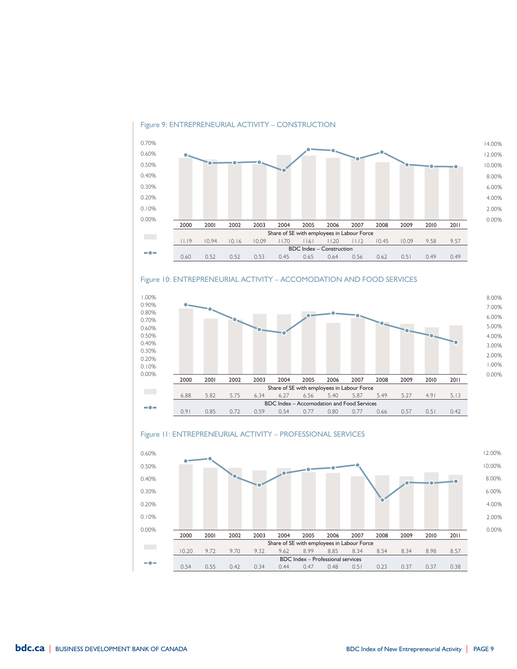

### Figure 9: ENTREPRENEURIAL ACTIVITY – CONSTRUCTION

### Figure 10: Entrepreneurial Activity – Accomodation and Food Services



### Figure 11: ENTREPRENEURIAL ACTIVITY - PROFESSIONAL SERVICES

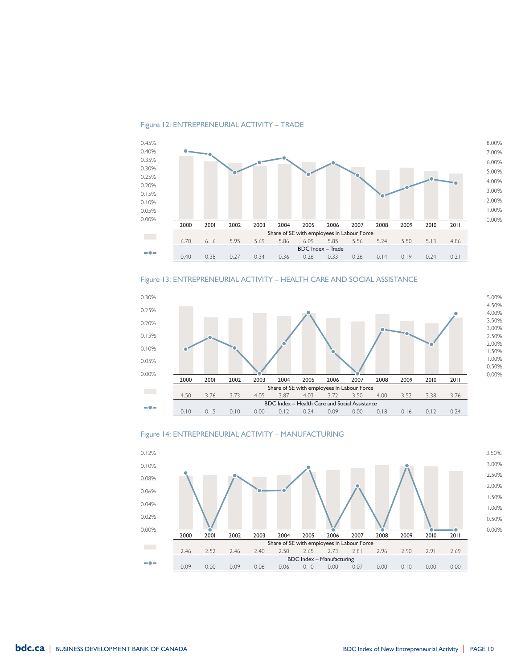

#### Figure 12: ENTREPRENEURIAL ACTIVITY - TRADE

### Figure 13: Entrepreneurial Activity – Health Care and Social Assistance





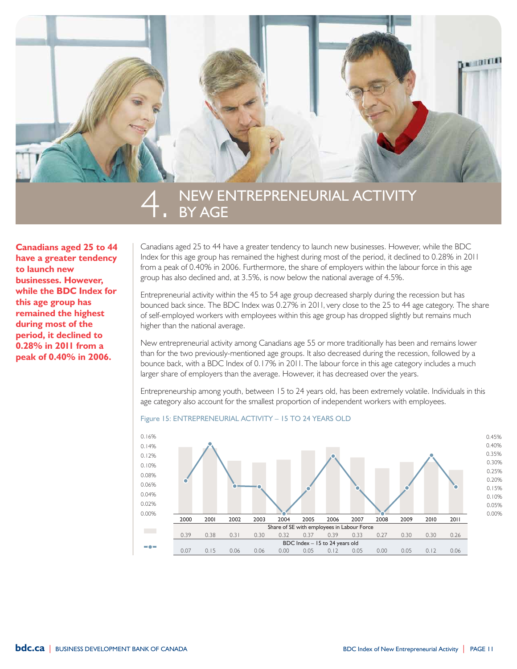

## NEW ENTREPRENEURIAL ACTIVITY<br>BY AGE

**Canadians aged 25 to 44 have a greater tendency to launch new businesses. However, while the BDC Index for this age group has remained the highest during most of the period, it declined to 0.28% in 2011 from a peak of 0.40% in 2006.** 

Canadians aged 25 to 44 have a greater tendency to launch new businesses. However, while the BDC Index for this age group has remained the highest during most of the period, it declined to 0.28% in 2011 from a peak of 0.40% in 2006. Furthermore, the share of employers within the labour force in this age group has also declined and, at 3.5%, is now below the national average of 4.5%.

Entrepreneurial activity within the 45 to 54 age group decreased sharply during the recession but has bounced back since. The BDC Index was 0.27% in 2011, very close to the 25 to 44 age category. The share of self-employed workers with employees within this age group has dropped slightly but remains much higher than the national average.

New entrepreneurial activity among Canadians age 55 or more traditionally has been and remains lower than for the two previously-mentioned age groups. It also decreased during the recession, followed by a bounce back, with a BDC Index of 0.17% in 2011. The labour force in this age category includes a much larger share of employers than the average. However, it has decreased over the years.

Entrepreneurship among youth, between 15 to 24 years old, has been extremely volatile. Individuals in this age category also account for the smallest proportion of independent workers with employees.

### Figure 15: ENTREPRENEURIAL ACTIVITY - 15 TO 24 YEARS OLD

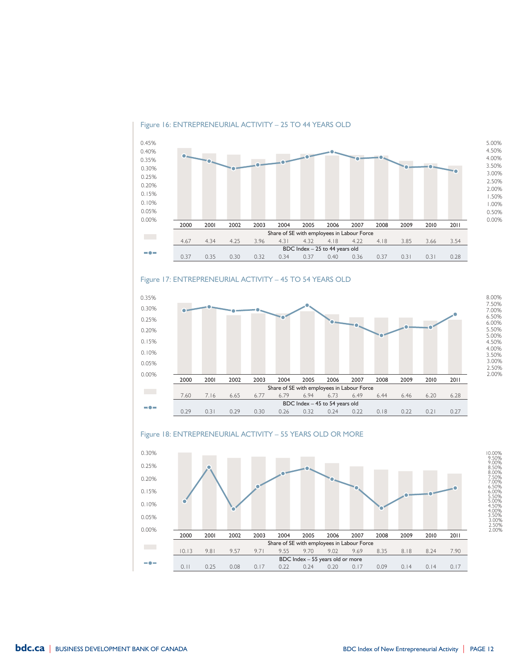### Figure 16: ENTREPRENEURIAL ACTIVITY - 25 TO 44 YEARS OLD



### Figure 17: ENTREPRENEURIAL ACTIVITY - 45 TO 54 YEARS OLD







2.00% 2.50% 3.00% 3.50% 4.00% 4.50% 5.00% 5.50% 6.00% 6.50% 7.00% 7.50% 8.00%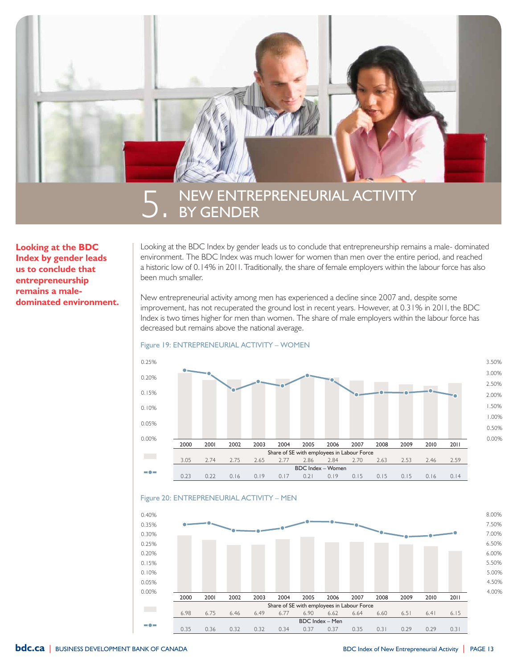

**Looking at the BDC Index by gender leads us to conclude that entrepreneurship remains a maledominated environment.**  Looking at the BDC Index by gender leads us to conclude that entrepreneurship remains a male- dominated environment. The BDC Index was much lower for women than men over the entire period, and reached a historic low of 0.14% in 2011. Traditionally, the share of female employers within the labour force has also been much smaller.

New entrepreneurial activity among men has experienced a decline since 2007 and, despite some improvement, has not recuperated the ground lost in recent years. However, at 0.31% in 2011, the BDC Index is two times higher for men than women. The share of male employers within the labour force has decreased but remains above the national average.

#### Figure 19: ENTREPRENEURIAL ACTIVITY - WOMEN





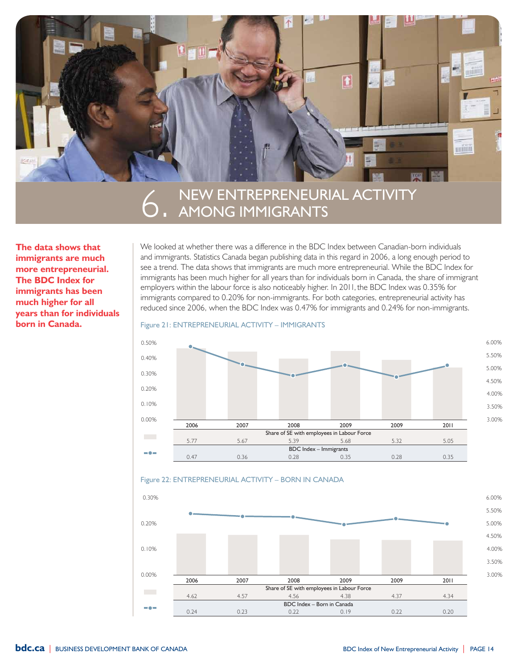

# NEW ENTREPRENEURIAL ACTIVITY<br>AMONG IMMIGRANTS

**The data shows that immigrants are much more entrepreneurial. The BDC Index for immigrants has been much higher for all years than for individuals born in Canada.**

We looked at whether there was a difference in the BDC Index between Canadian-born individuals and immigrants. Statistics Canada began publishing data in this regard in 2006, a long enough period to see a trend. The data shows that immigrants are much more entrepreneurial. While the BDC Index for immigrants has been much higher for all years than for individuals born in Canada, the share of immigrant employers within the labour force is also noticeably higher. In 2011, the BDC Index was 0.35% for immigrants compared to 0.20% for non-immigrants. For both categories, entrepreneurial activity has reduced since 2006, when the BDC Index was 0.47% for immigrants and 0.24% for non-immigrants.

### Figure 21: ENTREPRENEURIAL ACTIVITY - IMMIGRANTS





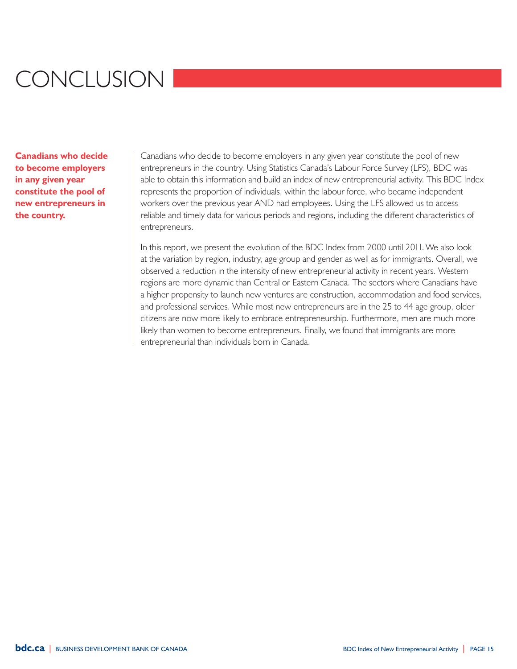## Conclusion

**Canadians who decide to become employers in any given year constitute the pool of new entrepreneurs in the country.**

Canadians who decide to become employers in any given year constitute the pool of new entrepreneurs in the country. Using Statistics Canada's Labour Force Survey (LFS), BDC was able to obtain this information and build an index of new entrepreneurial activity. This BDC Index represents the proportion of individuals, within the labour force, who became independent workers over the previous year AND had employees. Using the LFS allowed us to access reliable and timely data for various periods and regions, including the different characteristics of entrepreneurs.

In this report, we present the evolution of the BDC Index from 2000 until 2011. We also look at the variation by region, industry, age group and gender as well as for immigrants. Overall, we observed a reduction in the intensity of new entrepreneurial activity in recent years. Western regions are more dynamic than Central or Eastern Canada. The sectors where Canadians have a higher propensity to launch new ventures are construction, accommodation and food services, and professional services. While most new entrepreneurs are in the 25 to 44 age group, older citizens are now more likely to embrace entrepreneurship. Furthermore, men are much more likely than women to become entrepreneurs. Finally, we found that immigrants are more entrepreneurial than individuals born in Canada.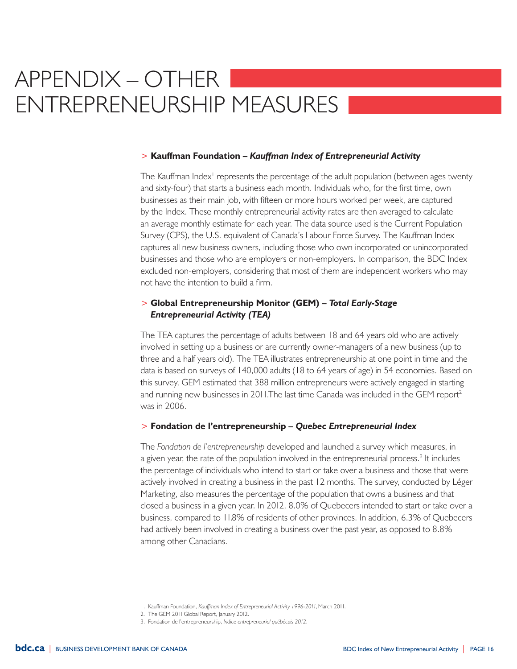### Appendix – Other Entrepreneurship Measures

### > **Kauffman Foundation –** *Kauffman Index of Entrepreneurial Activity*

The Kauffman Index<sup>1</sup> represents the percentage of the adult population (between ages twenty and sixty-four) that starts a business each month. Individuals who, for the first time, own businesses as their main job, with fifteen or more hours worked per week, are captured by the Index. These monthly entrepreneurial activity rates are then averaged to calculate an average monthly estimate for each year. The data source used is the Current Population Survey (CPS), the U.S. equivalent of Canada's Labour Force Survey. The Kauffman Index captures all new business owners, including those who own incorporated or unincorporated businesses and those who are employers or non-employers. In comparison, the BDC Index excluded non-employers, considering that most of them are independent workers who may not have the intention to build a firm.

### > **Global Entrepreneurship Monitor (GEM) –** *Total Early-Stage Entrepreneurial Activity (TEA)*

The TEA captures the percentage of adults between 18 and 64 years old who are actively involved in setting up a business or are currently owner-managers of a new business (up to three and a half years old). The TEA illustrates entrepreneurship at one point in time and the data is based on surveys of 140,000 adults (18 to 64 years of age) in 54 economies. Based on this survey, GEM estimated that 388 million entrepreneurs were actively engaged in starting and running new businesses in 2011. The last time Canada was included in the GEM report<sup>2</sup> was in 2006.

### > **Fondation de l'entrepreneurship –** *Quebec Entrepreneurial Index*

The *Fondation de l'entrepreneurship* developed and launched a survey which measures, in a given year, the rate of the population involved in the entrepreneurial process.<sup>9</sup> It includes the percentage of individuals who intend to start or take over a business and those that were actively involved in creating a business in the past 12 months. The survey, conducted by Léger Marketing, also measures the percentage of the population that owns a business and that closed a business in a given year. In 2012, 8.0% of Quebecers intended to start or take over a business, compared to 11.8% of residents of other provinces. In addition, 6.3% of Quebecers had actively been involved in creating a business over the past year, as opposed to 8.8% among other Canadians.

<sup>1.</sup> Kauffman Foundation, *Kauffman Index of Entrepreneurial Activity 1996-2011*, March 2011.

<sup>2.</sup> The GEM 2011 Global Report, January 2012.

<sup>3.</sup> Fondation de l'entrepreneurship, *Indice entrepreneurial québécois 2012*.